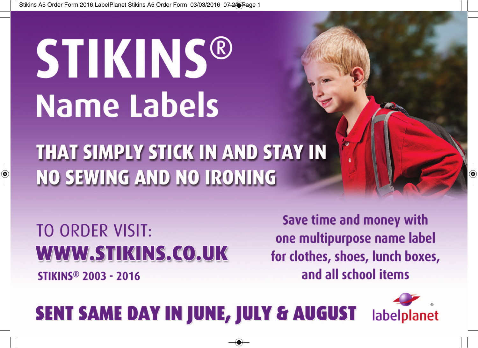## **STIKINS® Name Labels**

THAT SIMPLY STICK IN AND STAY IN **NO SEWING AND NO IRONING** 

TO ORDER VISIT: **WWW.STIKINS.CO.UK STIKINS<sup>®</sup> 2003 - 2016** 

Save time and money with one multipurpose name label for clothes, shoes, lunch boxes, and all school items

## **SENT SAME DAY IN JUNE, JULY & AUGUST**